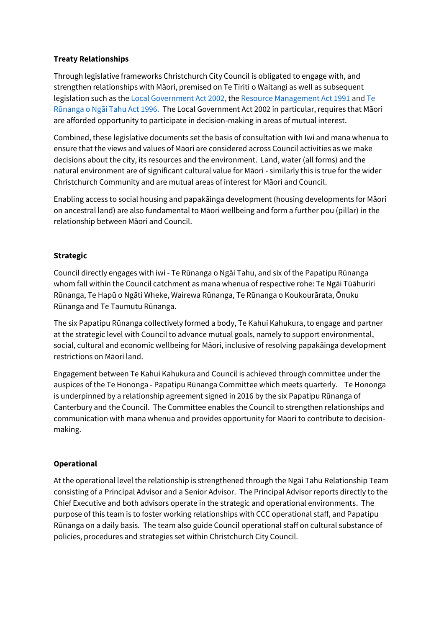# **Treaty Relationships**

Through legislative frameworks Christchurch City Council is obligated to engage with, and strengthen relationships with Māori, premised on Te Tiriti o Waitangi as well as subsequent legislation such as th[e Local Government Act 2002,](http://www.legislation.govt.nz/act/public/2002/0084/latest/DLM170873.html) th[e Resource Management Act 1991](http://www.legislation.govt.nz/act/public/1991/0069/latest/DLM230265.html?src=qs) an[d Te](http://www.legislation.govt.nz/act/private/1996/0001/latest/DLM117218.html?src=qs)  [Rūnanga o Ngāi Tahu Act 1996](http://www.legislation.govt.nz/act/private/1996/0001/latest/DLM117218.html?src=qs). The Local Government Act 2002 in particular, requires that Māori are afforded opportunity to participate in decision-making in areas of mutual interest.

Combined, these legislative documents set the basis of consultation with Iwi and mana whenua to ensure that the views and values of Māori are considered across Council activities as we make decisions about the city, its resources and the environment. Land, water (all forms) and the natural environment are of significant cultural value for Māori - similarly this is true for the wider Christchurch Community and are mutual areas of interest for Māori and Council.

Enabling access to social housing and papakāinga development (housing developments for Māori on ancestral land) are also fundamental to Māori wellbeing and form a further pou (pillar) in the relationship between Māori and Council.

# **Strategic**

Council directly engages with iwi - Te Rūnanga o Ngāi Tahu, and six of the Papatipu Rūnanga whom fall within the Council catchment as mana whenua of respective rohe: Te Ngāi Tūāhuriri Rūnanga, Te Hapū o Ngāti Wheke, Wairewa Rūnanga, Te Rūnanga o Koukourārata, Ōnuku Rūnanga and Te Taumutu Rūnanga.

The six Papatipu Rūnanga collectively formed a body, Te Kahui Kahukura, to engage and partner at the strategic level with Council to advance mutual goals, namely to support environmental, social, cultural and economic wellbeing for Māori, inclusive of resolving papakāinga development restrictions on Māori land.

Engagement between Te Kahui Kahukura and Council is achieved through committee under the auspices of the Te Hononga - Papatipu Rūnanga Committee which meets quarterly. Te Hononga is underpinned by a relationship agreement signed in 2016 by the six Papatipu Rūnanga of Canterbury and the Council. The Committee enables the Council to strengthen relationships and communication with mana whenua and provides opportunity for Māori to contribute to decisionmaking.

### **Operational**

At the operational level the relationship is strengthened through the Ngāi Tahu Relationship Team consisting of a Principal Advisor and a Senior Advisor. The Principal Advisor reports directly to the Chief Executive and both advisors operate in the strategic and operational environments. The purpose of this team is to foster working relationships with CCC operational staff, and Papatipu Rūnanga on a daily basis. The team also guide Council operational staff on cultural substance of policies, procedures and strategies set within Christchurch City Council.